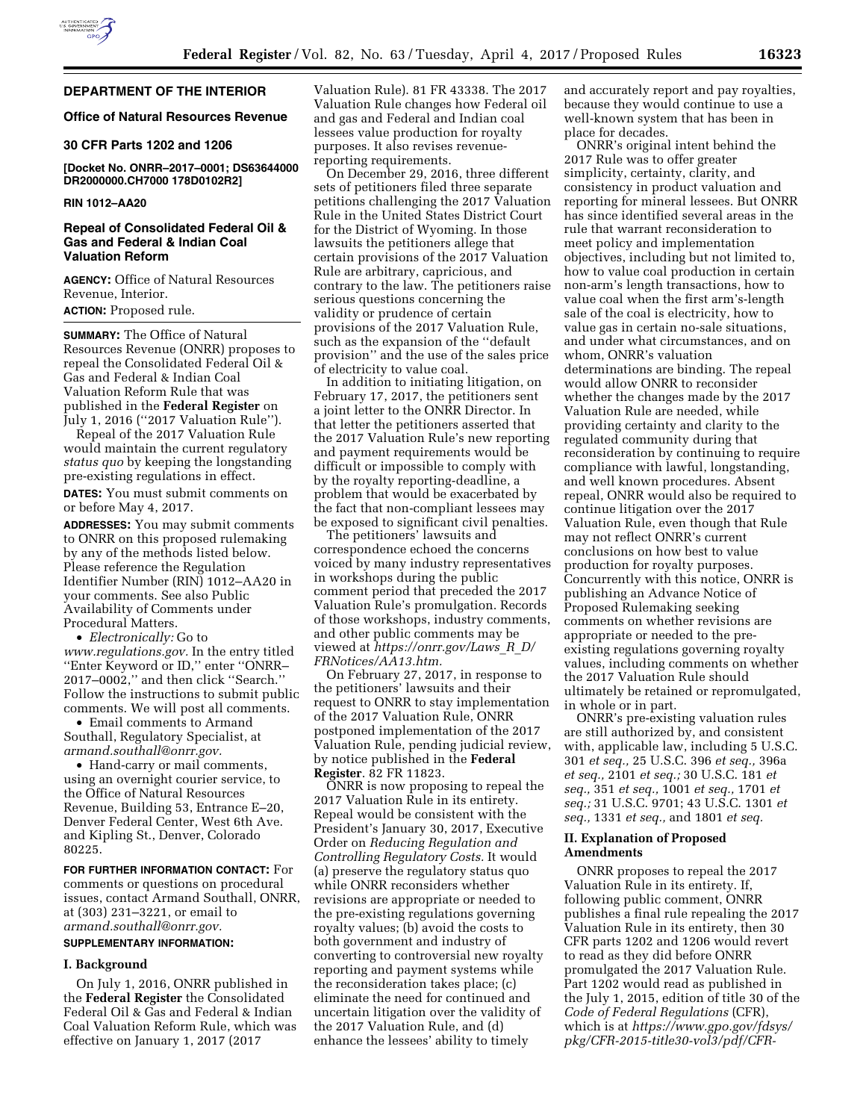

# **DEPARTMENT OF THE INTERIOR**

## **Office of Natural Resources Revenue**

### **30 CFR Parts 1202 and 1206**

**[Docket No. ONRR–2017–0001; DS63644000 DR2000000.CH7000 178D0102R2]** 

#### **RIN 1012–AA20**

### **Repeal of Consolidated Federal Oil & Gas and Federal & Indian Coal Valuation Reform**

**AGENCY:** Office of Natural Resources Revenue, Interior. **ACTION:** Proposed rule.

**SUMMARY:** The Office of Natural Resources Revenue (ONRR) proposes to repeal the Consolidated Federal Oil & Gas and Federal & Indian Coal Valuation Reform Rule that was published in the **Federal Register** on July 1, 2016 (''2017 Valuation Rule'').

Repeal of the 2017 Valuation Rule would maintain the current regulatory *status quo* by keeping the longstanding pre-existing regulations in effect. **DATES:** You must submit comments on

or before May 4, 2017.

**ADDRESSES:** You may submit comments to ONRR on this proposed rulemaking by any of the methods listed below. Please reference the Regulation Identifier Number (RIN) 1012–AA20 in your comments. See also Public Availability of Comments under Procedural Matters.

• *Electronically:* Go to *[www.regulations.gov.](http://www.regulations.gov)* In the entry titled ''Enter Keyword or ID,'' enter ''ONRR– 2017–0002,'' and then click ''Search.'' Follow the instructions to submit public comments. We will post all comments.

• Email comments to Armand Southall, Regulatory Specialist, at *[armand.southall@onrr.gov.](mailto:armand.southall@onrr.gov)* 

• Hand-carry or mail comments, using an overnight courier service, to the Office of Natural Resources Revenue, Building 53, Entrance E–20, Denver Federal Center, West 6th Ave. and Kipling St., Denver, Colorado 80225.

**FOR FURTHER INFORMATION CONTACT:** For comments or questions on procedural issues, contact Armand Southall, ONRR, at (303) 231–3221, or email to *[armand.southall@onrr.gov.](mailto:armand.southall@onrr.gov)* 

# **SUPPLEMENTARY INFORMATION:**

# **I. Background**

On July 1, 2016, ONRR published in the **Federal Register** the Consolidated Federal Oil & Gas and Federal & Indian Coal Valuation Reform Rule, which was effective on January 1, 2017 (2017

Valuation Rule). 81 FR 43338. The 2017 Valuation Rule changes how Federal oil and gas and Federal and Indian coal lessees value production for royalty purposes. It also revises revenuereporting requirements.

On December 29, 2016, three different sets of petitioners filed three separate petitions challenging the 2017 Valuation Rule in the United States District Court for the District of Wyoming. In those lawsuits the petitioners allege that certain provisions of the 2017 Valuation Rule are arbitrary, capricious, and contrary to the law. The petitioners raise serious questions concerning the validity or prudence of certain provisions of the 2017 Valuation Rule, such as the expansion of the ''default provision'' and the use of the sales price of electricity to value coal.

In addition to initiating litigation, on February 17, 2017, the petitioners sent a joint letter to the ONRR Director. In that letter the petitioners asserted that the 2017 Valuation Rule's new reporting and payment requirements would be difficult or impossible to comply with by the royalty reporting-deadline, a problem that would be exacerbated by the fact that non-compliant lessees may be exposed to significant civil penalties.

The petitioners' lawsuits and correspondence echoed the concerns voiced by many industry representatives in workshops during the public comment period that preceded the 2017 Valuation Rule's promulgation. Records of those workshops, industry comments, and other public comments may be viewed at *[https://onrr.gov/Laws](https://onrr.gov/Laws_R_D/FRNotices/AA13.htm)*\_*R*\_*D/ [FRNotices/AA13.htm.](https://onrr.gov/Laws_R_D/FRNotices/AA13.htm)* 

On February 27, 2017, in response to the petitioners' lawsuits and their request to ONRR to stay implementation of the 2017 Valuation Rule, ONRR postponed implementation of the 2017 Valuation Rule, pending judicial review, by notice published in the **Federal Register**. 82 FR 11823.

ONRR is now proposing to repeal the 2017 Valuation Rule in its entirety. Repeal would be consistent with the President's January 30, 2017, Executive Order on *Reducing Regulation and Controlling Regulatory Costs.* It would (a) preserve the regulatory status quo while ONRR reconsiders whether revisions are appropriate or needed to the pre-existing regulations governing royalty values; (b) avoid the costs to both government and industry of converting to controversial new royalty reporting and payment systems while the reconsideration takes place; (c) eliminate the need for continued and uncertain litigation over the validity of the 2017 Valuation Rule, and (d) enhance the lessees' ability to timely

and accurately report and pay royalties, because they would continue to use a well-known system that has been in place for decades.

ONRR's original intent behind the 2017 Rule was to offer greater simplicity, certainty, clarity, and consistency in product valuation and reporting for mineral lessees. But ONRR has since identified several areas in the rule that warrant reconsideration to meet policy and implementation objectives, including but not limited to, how to value coal production in certain non-arm's length transactions, how to value coal when the first arm's-length sale of the coal is electricity, how to value gas in certain no-sale situations, and under what circumstances, and on whom, ONRR's valuation determinations are binding. The repeal would allow ONRR to reconsider whether the changes made by the 2017 Valuation Rule are needed, while providing certainty and clarity to the regulated community during that reconsideration by continuing to require compliance with lawful, longstanding, and well known procedures. Absent repeal, ONRR would also be required to continue litigation over the 2017 Valuation Rule, even though that Rule may not reflect ONRR's current conclusions on how best to value production for royalty purposes. Concurrently with this notice, ONRR is publishing an Advance Notice of Proposed Rulemaking seeking comments on whether revisions are appropriate or needed to the preexisting regulations governing royalty values, including comments on whether the 2017 Valuation Rule should ultimately be retained or repromulgated, in whole or in part.

ONRR's pre-existing valuation rules are still authorized by, and consistent with, applicable law, including 5 U.S.C. 301 *et seq.,* 25 U.S.C. 396 *et seq.,* 396a *et seq.,* 2101 *et seq.;* 30 U.S.C. 181 *et seq.,* 351 *et seq.,* 1001 *et seq.,* 1701 *et seq.;* 31 U.S.C. 9701; 43 U.S.C. 1301 *et seq.,* 1331 *et seq.,* and 1801 *et seq.* 

### **II. Explanation of Proposed Amendments**

ONRR proposes to repeal the 2017 Valuation Rule in its entirety. If, following public comment, ONRR publishes a final rule repealing the 2017 Valuation Rule in its entirety, then 30 CFR parts 1202 and 1206 would revert to read as they did before ONRR promulgated the 2017 Valuation Rule. Part 1202 would read as published in the July 1, 2015, edition of title 30 of the *Code of Federal Regulations* (CFR), which is at *https://www.gpo.gov/fdsys/ pkg/CFR-2015-title30-vol3/pdf/CFR-*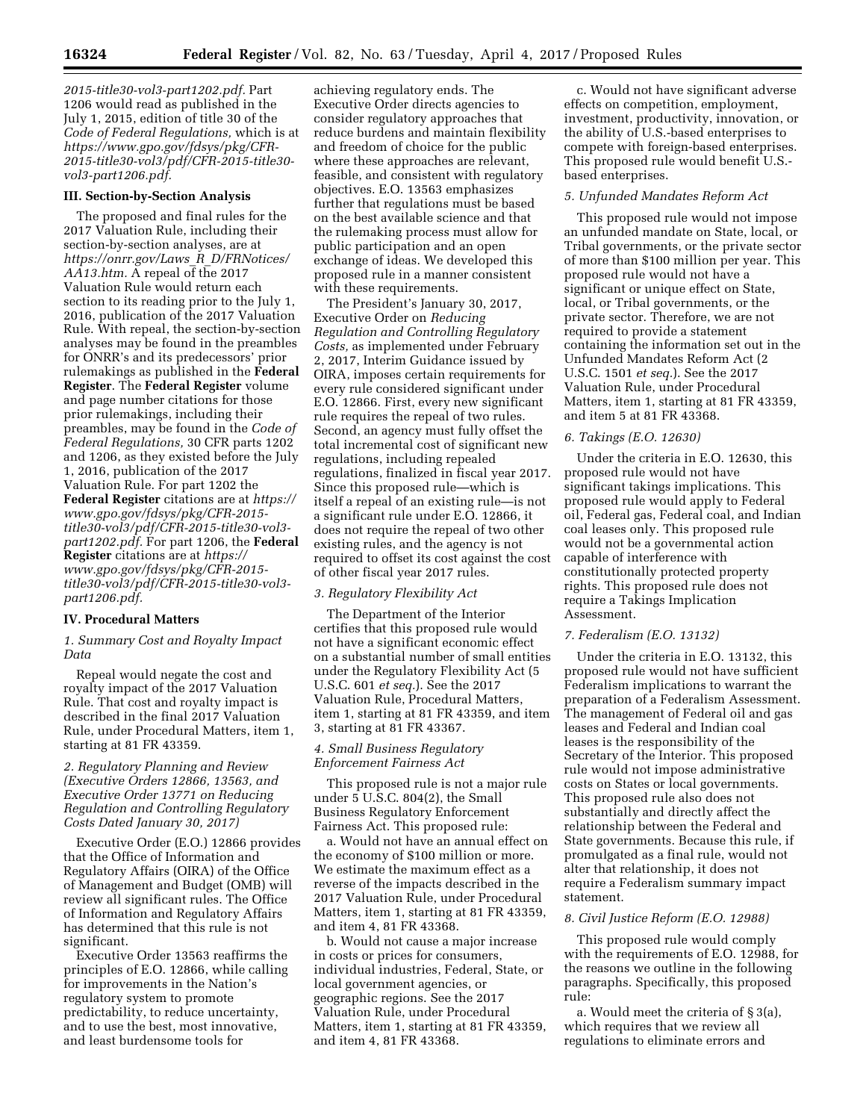*2015-title30-vol3-part1202.pdf.* Part 1206 would read as published in the July 1, 2015, edition of title 30 of the *Code of Federal Regulations,* which is at *[https://www.gpo.gov/fdsys/pkg/CFR-](https://www.gpo.gov/fdsys/pkg/CFR-2015-title30-vol3/pdf/CFR-2015-title30-vol3-part1206.pdf)[2015-title30-vol3/pdf/CFR-2015-title30](https://www.gpo.gov/fdsys/pkg/CFR-2015-title30-vol3/pdf/CFR-2015-title30-vol3-part1206.pdf) [vol3-part1206.pdf.](https://www.gpo.gov/fdsys/pkg/CFR-2015-title30-vol3/pdf/CFR-2015-title30-vol3-part1206.pdf)* 

#### **III. Section-by-Section Analysis**

The proposed and final rules for the 2017 Valuation Rule, including their section-by-section analyses, are at *[https://onrr.gov/Laws](https://onrr.gov/Laws_R_D/FRNotices/AA13.htm)*\_*R*\_*D/FRNotices/ [AA13.htm.](https://onrr.gov/Laws_R_D/FRNotices/AA13.htm)* A repeal of the 2017 Valuation Rule would return each section to its reading prior to the July 1, 2016, publication of the 2017 Valuation Rule. With repeal, the section-by-section analyses may be found in the preambles for ONRR's and its predecessors' prior rulemakings as published in the **Federal Register**. The **Federal Register** volume and page number citations for those prior rulemakings, including their preambles, may be found in the *Code of Federal Regulations,* 30 CFR parts 1202 and 1206, as they existed before the July 1, 2016, publication of the 2017 Valuation Rule. For part 1202 the **Federal Register** citations are at *[https://](https://www.gpo.gov/fdsys/pkg/CFR-2015-title30-vol3/pdf/CFR-2015-title30-vol3-part1202.pdf) [www.gpo.gov/fdsys/pkg/CFR-2015](https://www.gpo.gov/fdsys/pkg/CFR-2015-title30-vol3/pdf/CFR-2015-title30-vol3-part1202.pdf)  [title30-vol3/pdf/CFR-2015-title30-vol3](https://www.gpo.gov/fdsys/pkg/CFR-2015-title30-vol3/pdf/CFR-2015-title30-vol3-part1202.pdf)  [part1202.pdf.](https://www.gpo.gov/fdsys/pkg/CFR-2015-title30-vol3/pdf/CFR-2015-title30-vol3-part1202.pdf)* For part 1206, the **Federal Register** citations are at *[https://](https://www.gpo.gov/fdsys/pkg/CFR-2015-title30-vol3/pdf/CFR-2015-title30-vol3-part1206.pdf) [www.gpo.gov/fdsys/pkg/CFR-2015](https://www.gpo.gov/fdsys/pkg/CFR-2015-title30-vol3/pdf/CFR-2015-title30-vol3-part1206.pdf)  [title30-vol3/pdf/CFR-2015-title30-vol3](https://www.gpo.gov/fdsys/pkg/CFR-2015-title30-vol3/pdf/CFR-2015-title30-vol3-part1206.pdf)  [part1206.pdf.](https://www.gpo.gov/fdsys/pkg/CFR-2015-title30-vol3/pdf/CFR-2015-title30-vol3-part1206.pdf)* 

### **IV. Procedural Matters**

*1. Summary Cost and Royalty Impact Data* 

Repeal would negate the cost and royalty impact of the 2017 Valuation Rule. That cost and royalty impact is described in the final 2017 Valuation Rule, under Procedural Matters, item 1, starting at 81 FR 43359.

### *2. Regulatory Planning and Review (Executive Orders 12866, 13563, and Executive Order 13771 on Reducing Regulation and Controlling Regulatory Costs Dated January 30, 2017)*

Executive Order (E.O.) 12866 provides that the Office of Information and Regulatory Affairs (OIRA) of the Office of Management and Budget (OMB) will review all significant rules. The Office of Information and Regulatory Affairs has determined that this rule is not significant.

Executive Order 13563 reaffirms the principles of E.O. 12866, while calling for improvements in the Nation's regulatory system to promote predictability, to reduce uncertainty, and to use the best, most innovative, and least burdensome tools for

achieving regulatory ends. The Executive Order directs agencies to consider regulatory approaches that reduce burdens and maintain flexibility and freedom of choice for the public where these approaches are relevant, feasible, and consistent with regulatory objectives. E.O. 13563 emphasizes further that regulations must be based on the best available science and that the rulemaking process must allow for public participation and an open exchange of ideas. We developed this proposed rule in a manner consistent with these requirements.

The President's January 30, 2017, Executive Order on *Reducing Regulation and Controlling Regulatory Costs,* as implemented under February 2, 2017, Interim Guidance issued by OIRA, imposes certain requirements for every rule considered significant under E.O. 12866. First, every new significant rule requires the repeal of two rules. Second, an agency must fully offset the total incremental cost of significant new regulations, including repealed regulations, finalized in fiscal year 2017. Since this proposed rule—which is itself a repeal of an existing rule—is not a significant rule under E.O. 12866, it does not require the repeal of two other existing rules, and the agency is not required to offset its cost against the cost of other fiscal year 2017 rules.

### *3. Regulatory Flexibility Act*

The Department of the Interior certifies that this proposed rule would not have a significant economic effect on a substantial number of small entities under the Regulatory Flexibility Act (5 U.S.C. 601 *et seq.*). See the 2017 Valuation Rule, Procedural Matters, item 1, starting at 81 FR 43359, and item 3, starting at 81 FR 43367.

### *4. Small Business Regulatory Enforcement Fairness Act*

This proposed rule is not a major rule under 5 U.S.C. 804(2), the Small Business Regulatory Enforcement Fairness Act. This proposed rule:

a. Would not have an annual effect on the economy of \$100 million or more. We estimate the maximum effect as a reverse of the impacts described in the 2017 Valuation Rule, under Procedural Matters, item 1, starting at 81 FR 43359, and item 4, 81 FR 43368.

b. Would not cause a major increase in costs or prices for consumers, individual industries, Federal, State, or local government agencies, or geographic regions. See the 2017 Valuation Rule, under Procedural Matters, item 1, starting at 81 FR 43359, and item 4, 81 FR 43368.

c. Would not have significant adverse effects on competition, employment, investment, productivity, innovation, or the ability of U.S.-based enterprises to compete with foreign-based enterprises. This proposed rule would benefit U.S. based enterprises.

#### *5. Unfunded Mandates Reform Act*

This proposed rule would not impose an unfunded mandate on State, local, or Tribal governments, or the private sector of more than \$100 million per year. This proposed rule would not have a significant or unique effect on State, local, or Tribal governments, or the private sector. Therefore, we are not required to provide a statement containing the information set out in the Unfunded Mandates Reform Act (2 U.S.C. 1501 *et seq.*). See the 2017 Valuation Rule, under Procedural Matters, item 1, starting at 81 FR 43359, and item 5 at 81 FR 43368.

#### *6. Takings (E.O. 12630)*

Under the criteria in E.O. 12630, this proposed rule would not have significant takings implications. This proposed rule would apply to Federal oil, Federal gas, Federal coal, and Indian coal leases only. This proposed rule would not be a governmental action capable of interference with constitutionally protected property rights. This proposed rule does not require a Takings Implication Assessment.

#### *7. Federalism (E.O. 13132)*

Under the criteria in E.O. 13132, this proposed rule would not have sufficient Federalism implications to warrant the preparation of a Federalism Assessment. The management of Federal oil and gas leases and Federal and Indian coal leases is the responsibility of the Secretary of the Interior. This proposed rule would not impose administrative costs on States or local governments. This proposed rule also does not substantially and directly affect the relationship between the Federal and State governments. Because this rule, if promulgated as a final rule, would not alter that relationship, it does not require a Federalism summary impact statement.

#### *8. Civil Justice Reform (E.O. 12988)*

This proposed rule would comply with the requirements of E.O. 12988, for the reasons we outline in the following paragraphs. Specifically, this proposed rule:

a. Would meet the criteria of § 3(a), which requires that we review all regulations to eliminate errors and